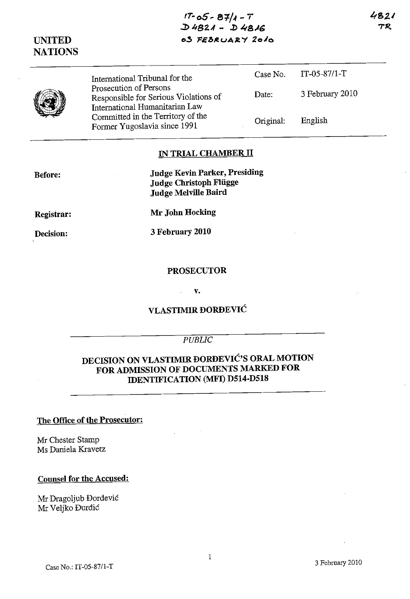| UNITED<br><b>NATIONS</b> | $D4821 - D4816$<br>03 FEBRUARY 2010                                                               |           |                 | 71 |
|--------------------------|---------------------------------------------------------------------------------------------------|-----------|-----------------|----|
|                          | International Tribunal for the                                                                    | Case No.  | $IT-05-87/1-T$  |    |
|                          | Prosecution of Persons<br>Responsible for Serious Violations of<br>International Humanitarian Law | Date:     | 3 February 2010 |    |
|                          | Committed in the Territory of the<br>Former Yugoslavia since 1991                                 | Original: | English         |    |

**fT·** *oS* ~ **e'1/" \_ <sup>I</sup>**

#### **IN TRIAL CHAMBER 11**

| <b>Judge Kevin Parker, Presiding</b><br><b>Judge Christoph Flügge</b><br>Judge Melville Baird |
|-----------------------------------------------------------------------------------------------|
| Mr John Hocking                                                                               |

**Registrar:** 

**Before:** 

**Decision:** 

**3 February 2010** 

#### **PROSECUTOR**

#### v.

# **VLASTIMIR DORDEVIC**

## *PUBLIC*

# **DECISION ON VLASTIMIR DORDEVIC'S ORAL MOTION FOR ADMISSION OF DOCUMENTS MARKED FOR IDENTIFICATION (MFI) D514-D518**

#### The **Office of the Prosecutor:**

Mr Chester Stamp Ms Daniela Kravetz

#### **Counsel for the Accused:**

Mr Dragoljub Dordevic Mr Veljko Đurđić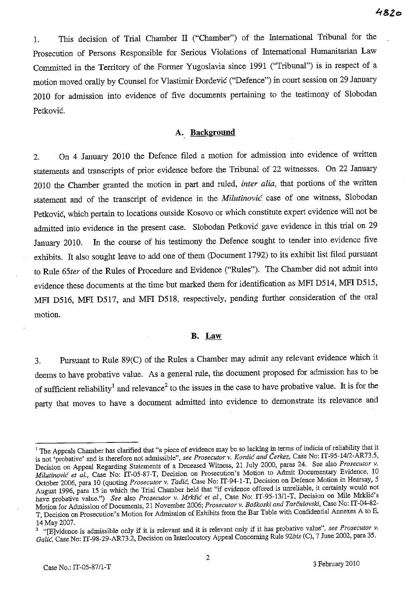$482c$ 

1. This decision of Trial Chamber IT ("Chamber") of the International Tribunal for the Prosecution of Persons Responsible for Serious Violations of International Humanitarian Law Committed in the Territory of the Former Yugoslavia since 1991 ("Tribunal") is in respect of a motion moved orally by Counsel for Vlastimir Dordevic ("Defence") in court session on 29 January 2010 for admission into evidence of five documents pertaining to the testimony of Slobodan Petkovic.

### A.. **Background**

2. On 4 January 2010 the Defence filed a motion for admission into evidence of written statements and transcripts of prior evidence before the Tribunal of 22 witnesses. On 22 January 2010 the Chamber granted the motion in part and ruled, *inter alia,* that portions of the written statement and of the transcript of evidence in the *Milutinovie.* case of one witness, Slobodan Petković, which pertain to locations outside Kosovo or which constitute expert evidence will not be admitted into evidence in the present case. Slobodan Petkovic gave evidence in this trial on 29 January 2010. In the course of his testimony the Defence sought to tender into evidence five exhibits. It also sought leave to add one of them (Document 1792) to its exhibit list filed pursuant to Rule *65ter* of the Rules of Procedure and Evidence ("Rules"). The Chamber did not admit into evidence these documents at the time but marked them for identification as MFI D514, MFI D515, MPI D516, MFI D517, and MPI D518, respectively, pending further consideration of the oral motion.

### **B.** Law

3. Pursuant to Rule 89(C) of the Rules a Chamber may admit any relevant evidence which it deems to have probative value. As a general rule, the document proposed for admission has to be of sufficient reliability<sup>1</sup> and relevance<sup>2</sup> to the issues in the case to have probative value. It is for the party that moves to have a document admitted into evidence to demonstrate its relevance and

<sup>&</sup>lt;sup>1</sup> The Appeals Chamber has clarified that "a piece of evidence may be so lacking in terms of indicia of reliability that it is not 'probative' and is therefore not admissible", *see Prosecutor v. Kordic and Cerkez,* Case No: IT-9S-14/2-AR73.S, Decision on Appeal Regarding Statements of a Deceased Witness, 21 July 2000, paras 24. See also *Prosecutor v. Milutinović et al., Case No: IT-OS-87-T, Decision on Prosecution's Motion to Admit Documentary Evidence, 10* October 2006, para 10 (quoting *Prosecutor v. Tadic,* Case No: IT-94-1-T, Decision on Defence Motion in Hearsay, S August 1996, para IS in which the Trial Chamber held that "if evidence offered is unreliable, it certainly would not have probative value.") *See also Prosecutor v. Mrkšić et al.*, Case No: IT-95-13/1-T, Decision on Mile Mrkšić's Motion for Admission of Documents, 21 November 2006; *Prosecutor* v. *Boskoski and Tarculovski,* Case No: IT-04-82- T, Decision on Prosecution's Motion for Admission of Exhibits from the Bar Table with Confidential Annexes A to E, 14 May 2007.

<sup>2 &</sup>quot;[E]vidence is admissible only if it is relevant and it is relevant only if it has probative value", *see Prosecutor v. Galic,* Case No: IT-98-29-AR73.2, Decision on Interlocutory Appeal Concerning Rule *92bis* (C), 7 June 2002, para 3S.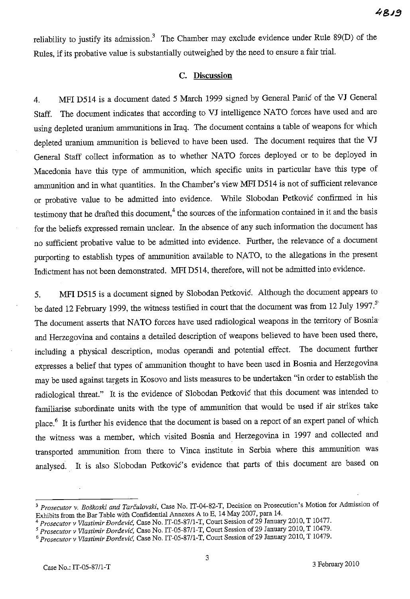reliability to justify its admission.<sup>3</sup> The Chamber may exclude evidence under Rule 89(D) of the Rules, if its probative value is substantially outweighed by the need to ensure a fair trial.

## **C. Discussion**

4. MFI D514 is a document dated 5 March 1999 signed by General Panic of the VJ General Staff. The document indicates that according to VJ intelligence NATO forces have used and are using depleted uranium ammunitions in Iraq. The document contains a table of weapons for which depleted uranium ammunition is believed to have been used. The document requires that the VJ General Staff collect information as to whether NATO forces deployed or to be deployed in Macedonia have this type of ammunition, which specific units in particular have this type of anununition and in what quantities. In the Chamber's view MFI D5l4 is not of sufficient relevance or probative value to be admitted into evidence. While Slobodan Petkovic confirmed in his testimony that he drafted this document,<sup>4</sup> the sources of the information contained in it and the basis for the beliefs expressed remain unclear. In the absence of any such information the document has no sufficient probative value to be admitted into evidence. Further, the relevance of a document purporting to establish types of ammunition available to NATO, to the allegations in the present Indictment has not been demonstrated. MFI D514, therefore, will not be admitted into evidence.

5. MFI D515 is a document signed by Slobodan Petkovic. Although the document appears to be dated 12 February 1999, the witness testified in court that the document was from 12 July 1997.<sup>5</sup> The document asserts that NATO forces have used radiological weapons in the territory of Bosnia and Herzegovina and contains a detailed description of weapons believed to have been used there, including a physical description, modus operandi and potential effect. The document further expresses a belief that types of ammunition thought to have been used in Bosnia and Herzegovina may be used against targets in Kosovo and lists measures to be undertaken "in order to establish the radiological threat." It is the evidence of Slobodan Petkovic that this document was intended to familiarise subordinate units with the type of ammunition that would be used if air strikes take place.<sup>6</sup> It is further his evidence that the document is based on a report of an expert panel of which the witness was a member, which visited Bosnia and Herzegovina in 1997 and collected and transported ammunition from there to Vinca institute in Serbia where this ammunition was analysed. It is also Slobodan Petković's evidence that parts of this document are based on

<sup>&</sup>lt;sup>3</sup> Prosecutor v. Boškoski and Tarčulovski, Case No. IT-04-82-T, Decision on Prosecution's Motion for Admission of Exhibits from the Bar Table with Confidential Annexes A to E, 14 May 2007, para 14.

<sup>4</sup>*Prosecutor v Vlastimir fJordevie,* Case No. IT-05-S7/1-T, Court Session of 29 January 2010, T 10477.

*<sup>5</sup> Prosecutor v Vlastimir fJordevie,* Case No. IT-05-S7/l-T, Court Session of 29 January 2010, T 10479.

*<sup>6</sup> Prosecutor* v *Vlastimir fJordevie,* Case No. IT-05-S7/1-T, Court Session of 29 January 2010, T 10479.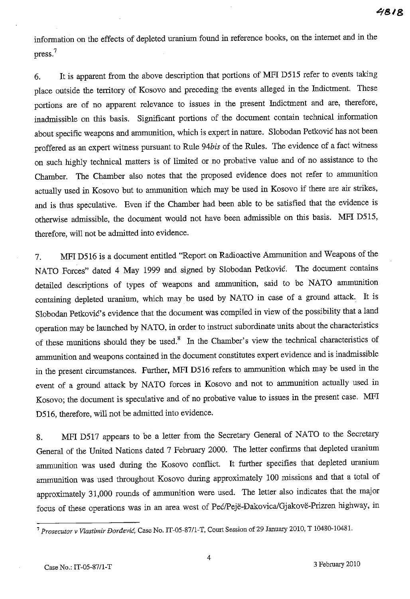information on the effects of depleted uranium found in reference books, on the intemet and in the press.<sup>7</sup>

6. **It** is apparent from the above description that portions of **MFI** D515 refer to events taking place outside the territory of Kosovo and preceding the events alleged in the Indictment. These portions are of no apparent relevance to issues in the present Indictment and are, therefore, inadmissible on this basis. Significant portions of the document contain technical information about specific weapons and ammunition, which is expert in nature. Slobodan Petkovic has not been proffered as an expert witness pursuant to Rule *94bis* of the Rules. The evidence of a fact witness on such highly technical matters is of limited or no probative value and of no assistance to the Chamber. The Chamber also notes that the proposed evidence does not refer to ammunition actually used in Kosovo but to ammunition which may be used in Kosovo if there are air strikes, and is thus speculative. Even if the Chamber had been able to be satisfied that the evidence is otherwise admissible, the document would not have been admissible on this basis. **MFI** D515, therefore, will not be admitted into evidence.

7. **MFI** D516 is a document entitled "Report on Radioactive Ammunition and Weapons of the NATO Forces" dated 4 May 1999 and signed by Slobodan Petkovic. The document contains detailed descriptions of types of weapons and ammunition, said to be NATO ammunition containing depleted uranium, which may be used by NATO in case of a ground attack. **It** is Slobodan Petković's evidence that the document was compiled in view of the possibility that a land operation may be launched by NATO, in order to instruct subordinate units about the characteristics of these munitions should they be used.<sup>8</sup> In the Chamber's view the technical characteristics of ammunition and weapons contained in the document constitutes expert evidence and is inadmissible in the present circumstances. Further, **MFI** D516 refers to ammunition which may be used in the event of a ground attack by NATO forces in Kosovo and not to ammunition actually used in Kosovo; the document is speculative and of no probative value to issues in the present case. **MPI**  D516, therefore, will not be admitted into evidence.

8. **MFI** D517 appears to be a letter from the Secretary General of NATO to the Secretary General of the United Nations dated 7 February 2000. The letter confirms that depleted uranium ammunition was used during the Kosovo conflict. **It** further specifies that depleted uranium ammunition was used throughout Kosovo during approximately 100 missions and that a total of approximately 31,000 rounds of ammunition were used. The letter also indicates that the major focus of these operations was in an area west of Pec/Peje-Dakovica/Gjakove-Prizren highway, in

<sup>7</sup>*Prosecutor* v *Vlastimir fJoraevie,* Case No. IT-05-87/l-T, Court Session of 29 January 2010, T 10480-10481.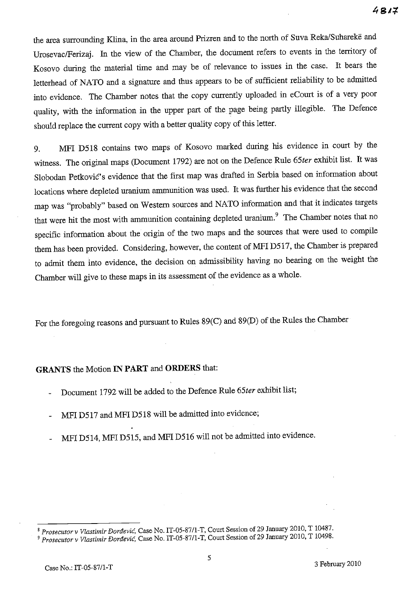the area surrounding Klina, in the area around Prizren and to the north of Suva Reka/Suharekë and UrosevaclFerizaj. In the view of the Chamber, the document refers to events in the territory of Kosovo during the material time and may be of relevance to issues in the case. It bears the letterhead of NATO and a signature and thus appears to be of sufficient reliability to be admitted into evidence. The Chamber notes that the copy currently uploaded in eCourt is of a very poor quality, with the information in the upper part of the page being partly illegible. The Defence should replace the current copy with a better quality copy of this letter.

9. MFI D518 contains two maps of Kosovo marked during his evidence in court by the witness. The original maps (Document 1792) are not on the Defence Rule *65ter* exhibit list. It was Slobodan Petkovic's evidence that the first map was drafted in Serbia based on information about locations where depleted uranium ammunition was used. It was further his evidence that the second map was "probably" based on Western sources and NATO information and that it indicates targets that were hit the most with ammunition containing depleted uranium.<sup>9</sup> The Chamber notes that no specific information about the origin of the two maps and the sources that were used to compile them has been provided. Considering, however, the content of MPI D517, the Chamber is prepared to admit them into evidence, the decision on admissibility having no bearing on the weight the Chamber will give to these maps in its assessment of the evidence as a whole.

For the foregoing reasons and pursuant to Rules 89(C) and 89(D) of the Rules the Chamber

## GRANTS the Motion IN PART and **ORDERS** that:

- Docmnent 1792 will be added to the Defence Rule *65ter* exhibit list;
- MPI D517 and MFI D518 will be admitted into evidence;
- MPI D514, MPI D515, and MPI D516 will not be admitted into evidence.

<sup>8</sup>*Prosecutor* v *Vlastimir Dardevie,* Case No. IT-05-87/1-T, Court Session of 29 January 2010, T 10487.

<sup>9</sup>*Prosecutor* v *Vlastimir Dardevie,* Case No. IT-05-87/1-T, Court Session of 29 January 2010, T 10498.